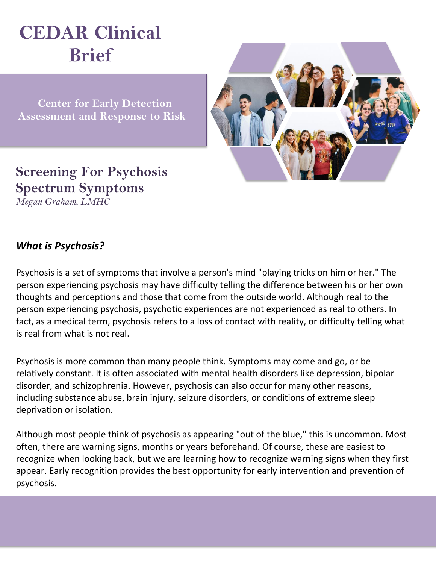# **CEDAR Clinical Brief**

 **Center for Early Detection Assessment and Response to Risk**



## **Screening For Psychosis Spectrum Symptoms**

*Megan Graham, LMHC*

#### *What is Psychosis?*

Psychosis is a set of symptoms that involve a person's mind "playing tricks on him or her." The person experiencing psychosis may have difficulty telling the difference between his or her own thoughts and perceptions and those that come from the outside world. Although real to the person experiencing psychosis, psychotic experiences are not experienced as real to others. In fact, as a medical term, psychosis refers to a loss of contact with reality, or difficulty telling what is real from what is not real.

Psychosis is more common than many people think. Symptoms may come and go, or be relatively constant. It is often associated with mental health disorders like depression, bipolar disorder, and schizophrenia. However, psychosis can also occur for many other reasons, including substance abuse, brain injury, seizure disorders, or conditions of extreme sleep deprivation or isolation.

Although most people think of psychosis as appearing "out of the blue," this is uncommon. Most often, there are warning signs, months or years beforehand. Of course, these are easiest to recognize when looking back, but we are learning how to recognize warning signs when they first appear. Early recognition provides the best opportunity for early intervention and prevention of psychosis.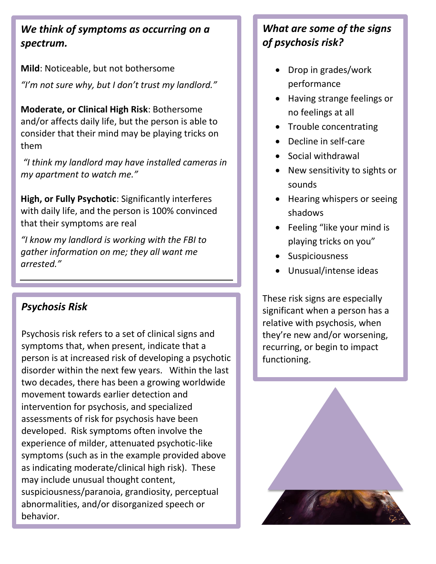#### *We think of symptoms as occurring on a spectrum.*

**Mild**: Noticeable, but not bothersome *"I'm not sure why, but I don't trust my landlord."*

**Moderate, or Clinical High Risk**: Bothersome and/or affects daily life, but the person is able to consider that their mind may be playing tricks on them

*"I think my landlord may have installed cameras in my apartment to watch me."*

**High, or Fully Psychotic**: Significantly interferes with daily life, and the person is 100% convinced that their symptoms are real

*"I know my landlord is working with the FBI to gather information on me; they all want me arrested."*

#### *Psychosis Risk*

Psychosis risk refers to a set of clinical signs and symptoms that, when present, indicate that a person is at increased risk of developing a psychotic disorder within the next few years. Within the last two decades, there has been a growing worldwide movement towards earlier detection and intervention for psychosis, and specialized assessments of risk for psychosis have been developed. Risk symptoms often involve the experience of milder, attenuated psychotic-like symptoms (such as in the example provided above as indicating moderate/clinical high risk). These may include unusual thought content, suspiciousness/paranoia, grandiosity, perceptual abnormalities, and/or disorganized speech or behavior.

### *What are some of the signs of psychosis risk?*

- Drop in grades/work performance
- Having strange feelings or no feelings at all
- Trouble concentrating
- Decline in self-care
- Social withdrawal
- New sensitivity to sights or sounds
- Hearing whispers or seeing shadows
- Feeling "like your mind is playing tricks on you"
- **•** Suspiciousness
- Unusual/intense ideas

These risk signs are especially significant when a person has a relative with psychosis, when they're new and/or worsening, recurring, or begin to impact functioning.

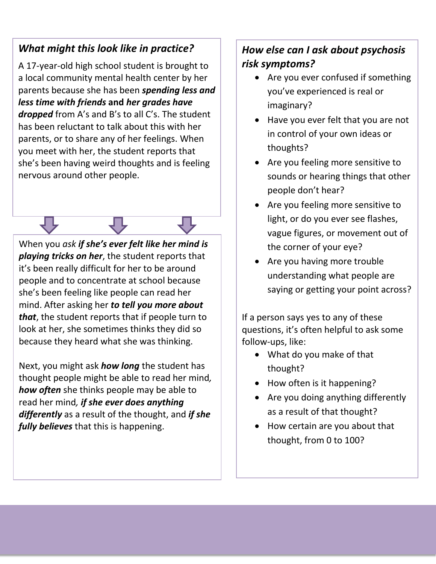#### *What might this look like in practice?*

A 17-year-old high school student is brought to a local community mental health center by her parents because she has been *spending less and less time with friends* **and** *her grades have dropped* from A's and B's to all C's. The student has been reluctant to talk about this with her parents, or to share any of her feelings. When you meet with her, the student reports that she's been having weird thoughts and is feeling nervous around other people.

When you *ask if she's ever felt like her mind is playing tricks on her*, the student reports that it's been really difficult for her to be around people and to concentrate at school because she's been feeling like people can read her mind. After asking her *to tell you more about that*, the student reports that if people turn to look at her, she sometimes thinks they did so because they heard what she was thinking.

Next, you might ask *how long* the student has thought people might be able to read her mind*, how often* she thinks people may be able to read her mind*, if she ever does anything differently* as a result of the thought, and *if she fully believes* that this is happening.

#### *How else can I ask about psychosis risk symptoms?*

- Are you ever confused if something you've experienced is real or imaginary?
- Have you ever felt that you are not in control of your own ideas or thoughts?
- Are you feeling more sensitive to sounds or hearing things that other people don't hear?
- Are you feeling more sensitive to light, or do you ever see flashes, vague figures, or movement out of the corner of your eye?
- Are you having more trouble understanding what people are saying or getting your point across?

If a person says yes to any of these questions, it's often helpful to ask some follow-ups, like:

- What do you make of that thought?
- How often is it happening?
- Are you doing anything differently as a result of that thought?
- How certain are you about that thought, from 0 to 100?